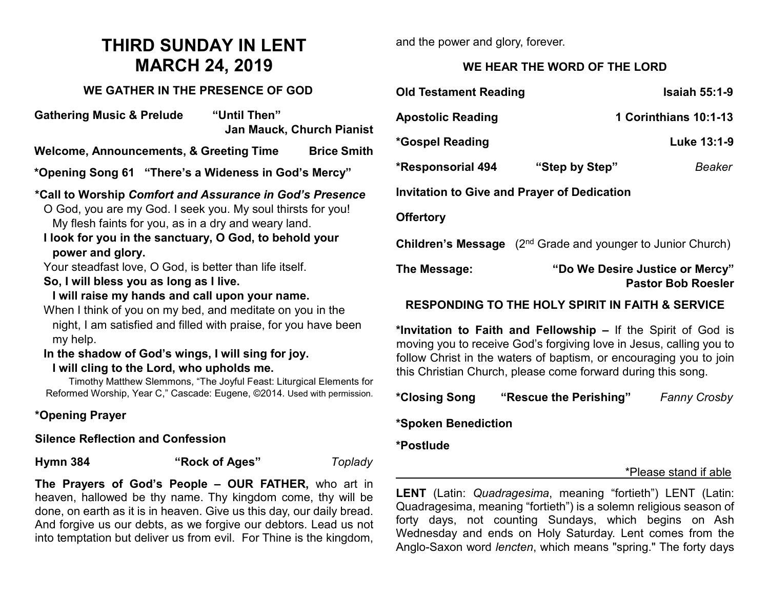# **THIRD SUNDAY IN LENT MARCH 24, 2019**

#### **WE GATHER IN THE PRESENCE OF GOD**

**Gathering Music & Prelude "Until Then" Jan Mauck, Church Pianist**

**Welcome, Announcements, & Greeting Time Brice Smith**

**\*Opening Song 61 "There's a Wideness in God's Mercy"** 

#### **\*Call to Worship** *Comfort and Assurance in God's Presence*

O God, you are my God. I seek you. My soul thirsts for you! My flesh faints for you, as in a dry and weary land.

**I look for you in the sanctuary, O God, to behold your power and glory.**

Your steadfast love, O God, is better than life itself.

**So, I will bless you as long as I live.**

**I will raise my hands and call upon your name.**

When I think of you on my bed, and meditate on you in the night, I am satisfied and filled with praise, for you have been my help.

## **In the shadow of God's wings, I will sing for joy.**

#### **I will cling to the Lord, who upholds me.**

Timothy Matthew Slemmons, "The Joyful Feast: Liturgical Elements for Reformed Worship, Year C," Cascade: Eugene, ©2014. Used with permission.

#### **\*Opening Prayer**

#### **Silence Reflection and Confession**

**Hymn 384 "Rock of Ages"** *Toplady*

**The Prayers of God's People – OUR FATHER,** who art in heaven, hallowed be thy name. Thy kingdom come, thy will be done, on earth as it is in heaven. Give us this day, our daily bread. And forgive us our debts, as we forgive our debtors. Lead us not into temptation but deliver us from evil. For Thine is the kingdom,

and the power and glory, forever.

### **WE HEAR THE WORD OF THE LORD**

| <b>Old Testament Reading</b>                                |                                                              | Isaiah 55:1-9                                                                  |
|-------------------------------------------------------------|--------------------------------------------------------------|--------------------------------------------------------------------------------|
| <b>Apostolic Reading</b>                                    |                                                              | 1 Corinthians 10:1-13                                                          |
| *Gospel Reading                                             |                                                              | Luke 13:1-9                                                                    |
| <b>*Responsorial 494</b>                                    | "Step by Step"                                               | Beaker                                                                         |
| Invitation to Give and Prayer of Dedication                 |                                                              |                                                                                |
| <b>Offertory</b>                                            |                                                              |                                                                                |
|                                                             |                                                              | <b>Children's Message</b> (2 <sup>nd</sup> Grade and younger to Junior Church) |
| The Message:                                                | "Do We Desire Justice or Mercy"<br><b>Pastor Bob Roesler</b> |                                                                                |
| <b>RESPONDING TO THE HOLY SPIRIT IN FAITH &amp; SERVICE</b> |                                                              |                                                                                |

**\*Invitation to Faith and Fellowship –** If the Spirit of God is moving you to receive God's forgiving love in Jesus, calling you to follow Christ in the waters of baptism, or encouraging you to join this Christian Church, please come forward during this song.

**\*Closing Song "Rescue the Perishing"** *Fanny Crosby*

#### **\*Spoken Benediction**

#### **\*Postlude**

#### \*Please stand if able

**LENT** (Latin: *Quadragesima*, meaning "fortieth") LENT (Latin: Quadragesima, meaning "fortieth") is a solemn religious season of forty days, not counting Sundays, which begins on Ash Wednesday and ends on Holy Saturday. Lent comes from the Anglo-Saxon word *lencten*, which means "spring." The forty days